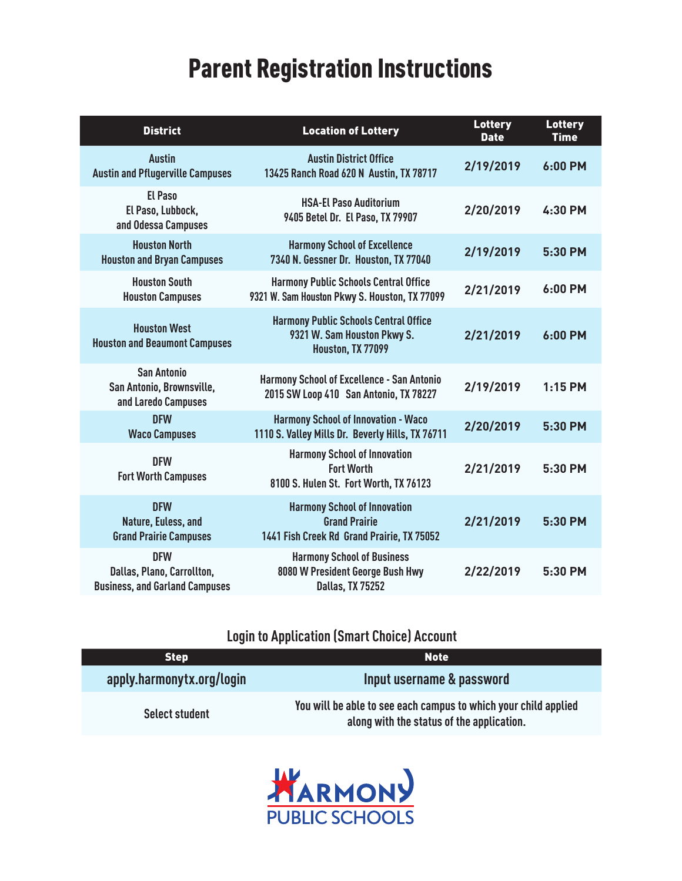# Parent Registration Instructions

| <b>District</b>                                                                   | <b>Location of Lottery</b>                                                                                | <b>Lottery</b><br><b>Date</b> | <b>Lottery</b><br><b>Time</b> |
|-----------------------------------------------------------------------------------|-----------------------------------------------------------------------------------------------------------|-------------------------------|-------------------------------|
| <b>Austin</b><br><b>Austin and Pflugerville Campuses</b>                          | <b>Austin District Office</b><br>13425 Ranch Road 620 N Austin, TX 78717                                  | 2/19/2019                     | 6:00 PM                       |
| <b>El Paso</b><br>El Paso, Lubbock,<br>and Odessa Campuses                        | <b>HSA-El Paso Auditorium</b><br>9405 Betel Dr. El Paso, TX 79907                                         | 2/20/2019                     | 4:30 PM                       |
| <b>Houston North</b><br><b>Houston and Bryan Campuses</b>                         | <b>Harmony School of Excellence</b><br>7340 N. Gessner Dr. Houston, TX 77040                              | 2/19/2019                     | 5:30 PM                       |
| <b>Houston South</b><br><b>Houston Campuses</b>                                   | <b>Harmony Public Schools Central Office</b><br>9321 W. Sam Houston Pkwy S. Houston, TX 77099             | 2/21/2019                     | 6:00 PM                       |
| <b>Houston West</b><br><b>Houston and Beaumont Campuses</b>                       | <b>Harmony Public Schools Central Office</b><br>9321 W. Sam Houston Pkwy S.<br>Houston, TX 77099          | 2/21/2019                     | 6:00 PM                       |
| <b>San Antonio</b><br>San Antonio, Brownsville,<br>and Laredo Campuses            | <b>Harmony School of Excellence - San Antonio</b><br>2015 SW Loop 410 San Antonio, TX 78227               | 2/19/2019                     | $1:15$ PM                     |
| <b>DFW</b><br><b>Waco Campuses</b>                                                | <b>Harmony School of Innovation - Waco</b><br>1110 S. Valley Mills Dr. Beverly Hills, TX 76711            | 2/20/2019                     | 5:30 PM                       |
| <b>DFW</b><br><b>Fort Worth Campuses</b>                                          | <b>Harmony School of Innovation</b><br><b>Fort Worth</b><br>8100 S. Hulen St. Fort Worth, TX 76123        | 2/21/2019                     | 5:30 PM                       |
| <b>DFW</b><br>Nature, Euless, and<br><b>Grand Prairie Campuses</b>                | <b>Harmony School of Innovation</b><br><b>Grand Prairie</b><br>1441 Fish Creek Rd Grand Prairie, TX 75052 | 2/21/2019                     | 5:30 PM                       |
| <b>DFW</b><br>Dallas, Plano, Carrollton,<br><b>Business, and Garland Campuses</b> | <b>Harmony School of Business</b><br>8080 W President George Bush Hwy<br><b>Dallas, TX 75252</b>          | 2/22/2019                     | 5:30 PM                       |

### **Login to Application (Smart Choice) Account**

| <b>Step</b>               | <b>Note</b>                                                                                                  |  |
|---------------------------|--------------------------------------------------------------------------------------------------------------|--|
| apply.harmonytx.org/login | Input username & password                                                                                    |  |
| <b>Select student</b>     | You will be able to see each campus to which your child applied<br>along with the status of the application. |  |